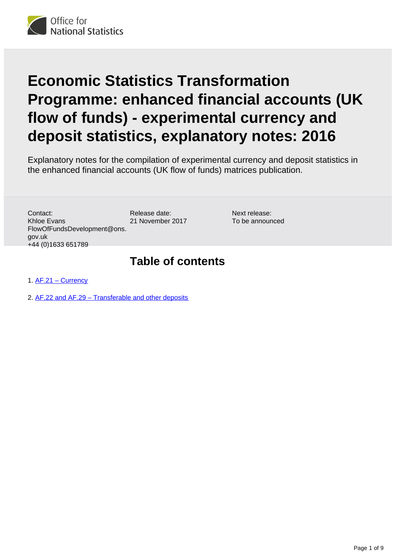

# **Economic Statistics Transformation Programme: enhanced financial accounts (UK flow of funds) - experimental currency and deposit statistics, explanatory notes: 2016**

Explanatory notes for the compilation of experimental currency and deposit statistics in the enhanced financial accounts (UK flow of funds) matrices publication.

Contact: Khloe Evans FlowOfFundsDevelopment@ons. gov.uk +44 (0)1633 651789

Release date: 21 November 2017

Next release: To be announced

# **Table of contents**

1. [AF.21 – Currency](#page-1-0)

2. [AF.22 and AF.29 – Transferable and other deposits](#page-3-0)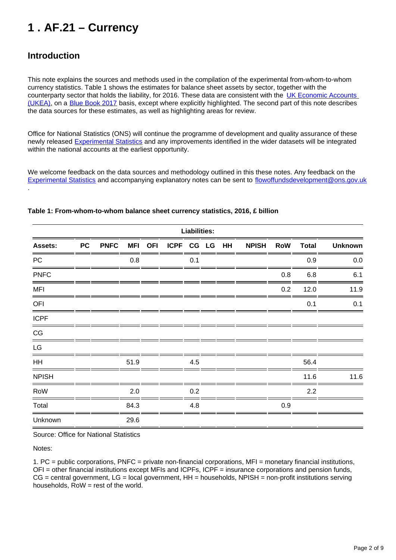# <span id="page-1-0"></span>**1 . AF.21 – Currency**

# **Introduction**

.

This note explains the sources and methods used in the compilation of the experimental from-whom-to-whom currency statistics. Table 1 shows the estimates for balance sheet assets by sector, together with the counterparty sector that holds the liability, for 2016. These data are consistent with the UK Economic Accounts [\(UKEA\)](https://www.ons.gov.uk/economy/nationalaccounts/uksectoraccounts/bulletins/quarterlysectoraccounts/apriltojune2017), on a [Blue Book 2017](https://www.ons.gov.uk/economy/grossdomesticproductgdp/compendium/unitedkingdomnationalaccountsthebluebook/2017) basis, except where explicitly highlighted. The second part of this note describes the data sources for these estimates, as well as highlighting areas for review.

Office for National Statistics (ONS) will continue the programme of development and quality assurance of these newly released **[Experimental Statistics](https://www.ons.gov.uk/economy/nationalaccounts/uksectoraccounts/articles/economicstatisticstransformationprogramme/enhancedfinancialaccountsukflowoffundsexperimentalbalancesheetstatistics1997to2016)** and any improvements identified in the wider datasets will be integrated within the national accounts at the earliest opportunity.

We welcome feedback on the data sources and methodology outlined in this these notes. Any feedback on the [Experimental Statistics](https://www.ons.gov.uk/economy/nationalaccounts/uksectoraccounts/articles/economicstatisticstransformationprogramme/enhancedfinancialaccountsukflowoffundsexperimentalbalancesheetstatistics1997to2016) and accompanying explanatory notes can be sent to flowoffundsdevelopment@ons.gov.uk

| <b>Liabilities:</b>    |           |             |      |  |                       |     |  |  |              |            |              |                |
|------------------------|-----------|-------------|------|--|-----------------------|-----|--|--|--------------|------------|--------------|----------------|
| <b>Assets:</b>         | <b>PC</b> | <b>PNFC</b> |      |  | MFI OFI ICPF CG LG HH |     |  |  | <b>NPISH</b> | <b>RoW</b> | <b>Total</b> | <b>Unknown</b> |
| PC                     |           |             | 0.8  |  |                       | 0.1 |  |  |              |            | 0.9          | 0.0            |
| <b>PNFC</b>            |           |             |      |  |                       |     |  |  |              | 0.8        | 6.8          | 6.1            |
| <b>MFI</b>             |           |             |      |  |                       |     |  |  |              | 0.2        | 12.0         | 11.9           |
| OFI                    |           |             |      |  |                       |     |  |  |              |            | 0.1          | 0.1            |
| <b>ICPF</b>            |           |             |      |  |                       |     |  |  |              |            |              |                |
| $\mathbb{C}\mathbb{G}$ |           |             |      |  |                       |     |  |  |              |            |              |                |
| LG                     |           |             |      |  |                       |     |  |  |              |            |              |                |
| HH                     |           |             | 51.9 |  |                       | 4.5 |  |  |              |            | 56.4         |                |
| <b>NPISH</b>           |           |             |      |  |                       |     |  |  |              |            | 11.6         | 11.6           |
| RoW                    |           |             | 2.0  |  |                       | 0.2 |  |  |              |            | 2.2          |                |
| Total                  |           |             | 84.3 |  |                       | 4.8 |  |  |              | 0.9        |              |                |
| Unknown                |           |             | 29.6 |  |                       |     |  |  |              |            |              |                |

#### **Table 1: From-whom-to-whom balance sheet currency statistics, 2016, £ billion**

Source: Office for National Statistics

Notes:

1. PC = public corporations, PNFC = private non-financial corporations, MFI = monetary financial institutions, OFI = other financial institutions except MFIs and ICPFs, ICPF = insurance corporations and pension funds,  $CG =$  central government,  $LG =$  local government,  $HH =$  households, NPISH = non-profit institutions serving households,  $Row = rest$  of the world.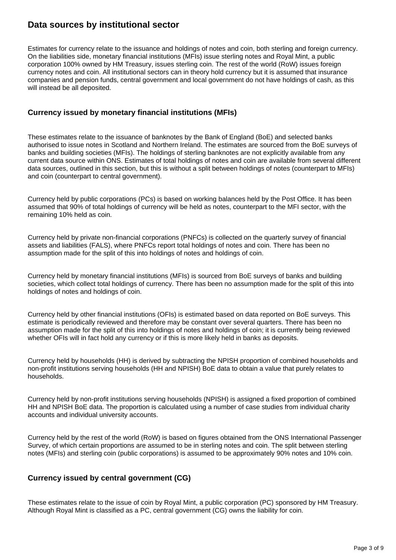### **Data sources by institutional sector**

Estimates for currency relate to the issuance and holdings of notes and coin, both sterling and foreign currency. On the liabilities side, monetary financial institutions (MFIs) issue sterling notes and Royal Mint, a public corporation 100% owned by HM Treasury, issues sterling coin. The rest of the world (RoW) issues foreign currency notes and coin. All institutional sectors can in theory hold currency but it is assumed that insurance companies and pension funds, central government and local government do not have holdings of cash, as this will instead be all deposited.

### **Currency issued by monetary financial institutions (MFIs)**

These estimates relate to the issuance of banknotes by the Bank of England (BoE) and selected banks authorised to issue notes in Scotland and Northern Ireland. The estimates are sourced from the BoE surveys of banks and building societies (MFIs). The holdings of sterling banknotes are not explicitly available from any current data source within ONS. Estimates of total holdings of notes and coin are available from several different data sources, outlined in this section, but this is without a split between holdings of notes (counterpart to MFIs) and coin (counterpart to central government).

Currency held by public corporations (PCs) is based on working balances held by the Post Office. It has been assumed that 90% of total holdings of currency will be held as notes, counterpart to the MFI sector, with the remaining 10% held as coin.

Currency held by private non-financial corporations (PNFCs) is collected on the quarterly survey of financial assets and liabilities (FALS), where PNFCs report total holdings of notes and coin. There has been no assumption made for the split of this into holdings of notes and holdings of coin.

Currency held by monetary financial institutions (MFIs) is sourced from BoE surveys of banks and building societies, which collect total holdings of currency. There has been no assumption made for the split of this into holdings of notes and holdings of coin.

Currency held by other financial institutions (OFIs) is estimated based on data reported on BoE surveys. This estimate is periodically reviewed and therefore may be constant over several quarters. There has been no assumption made for the split of this into holdings of notes and holdings of coin; it is currently being reviewed whether OFIs will in fact hold any currency or if this is more likely held in banks as deposits.

Currency held by households (HH) is derived by subtracting the NPISH proportion of combined households and non-profit institutions serving households (HH and NPISH) BoE data to obtain a value that purely relates to households.

Currency held by non-profit institutions serving households (NPISH) is assigned a fixed proportion of combined HH and NPISH BoE data. The proportion is calculated using a number of case studies from individual charity accounts and individual university accounts.

Currency held by the rest of the world (RoW) is based on figures obtained from the ONS International Passenger Survey, of which certain proportions are assumed to be in sterling notes and coin. The split between sterling notes (MFIs) and sterling coin (public corporations) is assumed to be approximately 90% notes and 10% coin.

### **Currency issued by central government (CG)**

These estimates relate to the issue of coin by Royal Mint, a public corporation (PC) sponsored by HM Treasury. Although Royal Mint is classified as a PC, central government (CG) owns the liability for coin.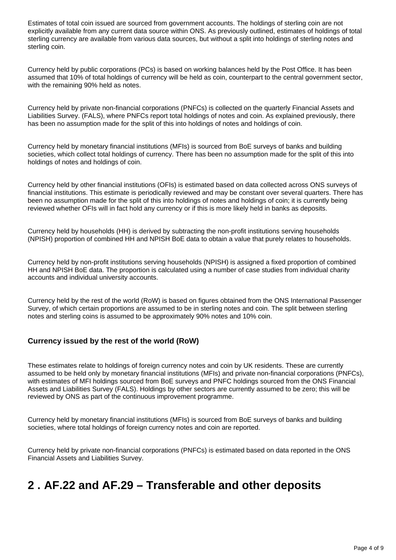Estimates of total coin issued are sourced from government accounts. The holdings of sterling coin are not explicitly available from any current data source within ONS. As previously outlined, estimates of holdings of total sterling currency are available from various data sources, but without a split into holdings of sterling notes and sterling coin.

Currency held by public corporations (PCs) is based on working balances held by the Post Office. It has been assumed that 10% of total holdings of currency will be held as coin, counterpart to the central government sector, with the remaining 90% held as notes.

Currency held by private non-financial corporations (PNFCs) is collected on the quarterly Financial Assets and Liabilities Survey. (FALS), where PNFCs report total holdings of notes and coin. As explained previously, there has been no assumption made for the split of this into holdings of notes and holdings of coin.

Currency held by monetary financial institutions (MFIs) is sourced from BoE surveys of banks and building societies, which collect total holdings of currency. There has been no assumption made for the split of this into holdings of notes and holdings of coin.

Currency held by other financial institutions (OFIs) is estimated based on data collected across ONS surveys of financial institutions. This estimate is periodically reviewed and may be constant over several quarters. There has been no assumption made for the split of this into holdings of notes and holdings of coin; it is currently being reviewed whether OFIs will in fact hold any currency or if this is more likely held in banks as deposits.

Currency held by households (HH) is derived by subtracting the non-profit institutions serving households (NPISH) proportion of combined HH and NPISH BoE data to obtain a value that purely relates to households.

Currency held by non-profit institutions serving households (NPISH) is assigned a fixed proportion of combined HH and NPISH BoE data. The proportion is calculated using a number of case studies from individual charity accounts and individual university accounts.

Currency held by the rest of the world (RoW) is based on figures obtained from the ONS International Passenger Survey, of which certain proportions are assumed to be in sterling notes and coin. The split between sterling notes and sterling coins is assumed to be approximately 90% notes and 10% coin.

### **Currency issued by the rest of the world (RoW)**

These estimates relate to holdings of foreign currency notes and coin by UK residents. These are currently assumed to be held only by monetary financial institutions (MFIs) and private non-financial corporations (PNFCs), with estimates of MFI holdings sourced from BoE surveys and PNFC holdings sourced from the ONS Financial Assets and Liabilities Survey (FALS). Holdings by other sectors are currently assumed to be zero; this will be reviewed by ONS as part of the continuous improvement programme.

Currency held by monetary financial institutions (MFIs) is sourced from BoE surveys of banks and building societies, where total holdings of foreign currency notes and coin are reported.

Currency held by private non-financial corporations (PNFCs) is estimated based on data reported in the ONS Financial Assets and Liabilities Survey.

# <span id="page-3-0"></span>**2 . AF.22 and AF.29 – Transferable and other deposits**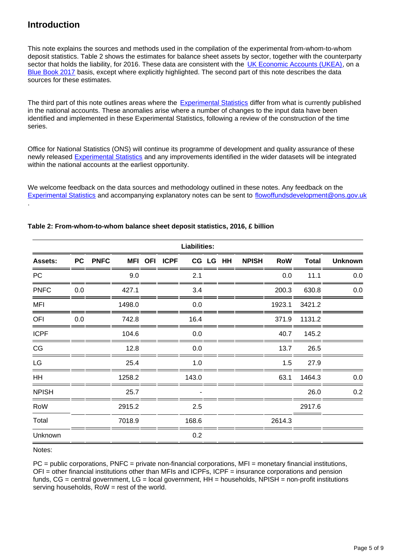## **Introduction**

.

This note explains the sources and methods used in the compilation of the experimental from-whom-to-whom deposit statistics. Table 2 shows the estimates for balance sheet assets by sector, together with the counterparty sector that holds the liability, for 2016. These data are consistent with the [UK Economic Accounts \(UKEA\)](https://www.ons.gov.uk/economy/nationalaccounts/uksectoraccounts/bulletins/quarterlysectoraccounts/apriltojune2017), on a [Blue Book 2017](https://www.ons.gov.uk/economy/grossdomesticproductgdp/compendium/unitedkingdomnationalaccountsthebluebook/2017) basis, except where explicitly highlighted. The second part of this note describes the data sources for these estimates.

The third part of this note outlines areas where the [Experimental Statistics](https://www.ons.gov.uk/economy/nationalaccounts/uksectoraccounts/articles/economicstatisticstransformationprogramme/enhancedfinancialaccountsukflowoffundsexperimentalbalancesheetstatistics1997to2016) differ from what is currently published in the national accounts. These anomalies arise where a number of changes to the input data have been identified and implemented in these Experimental Statistics, following a review of the construction of the time series.

Office for National Statistics (ONS) will continue its programme of development and quality assurance of these newly released [Experimental Statistics](https://www.ons.gov.uk/economy/nationalaccounts/uksectoraccounts/articles/economicstatisticstransformationprogramme/enhancedfinancialaccountsukflowoffundsexperimentalbalancesheetstatistics1997to2016) and any improvements identified in the wider datasets will be integrated within the national accounts at the earliest opportunity.

We welcome feedback on the data sources and methodology outlined in these notes. Any feedback on the [Experimental Statistics](https://www.ons.gov.uk/economy/nationalaccounts/uksectoraccounts/articles/economicstatisticstransformationprogramme/enhancedfinancialaccountsukflowoffundsexperimentalbalancesheetstatistics1997to2016) and accompanying explanatory notes can be sent to [flowoffundsdevelopment@ons.gov.uk](http://mailto:flowoffundsdevelopment@ons.gov.uk)

| <b>Liabilities:</b>    |     |         |        |  |              |       |  |          |              |            |              |                |
|------------------------|-----|---------|--------|--|--------------|-------|--|----------|--------------|------------|--------------|----------------|
| Assets:                |     | PC PNFC |        |  | MFI OFI ICPF |       |  | CG LG HH | <b>NPISH</b> | <b>RoW</b> | <b>Total</b> | <b>Unknown</b> |
| <b>PC</b>              |     |         | 9.0    |  |              | 2.1   |  |          |              | 0.0        | 11.1         | 0.0            |
| <b>PNFC</b>            | 0.0 |         | 427.1  |  |              | 3.4   |  |          |              | 200.3      | 630.8        | 0.0            |
| <b>MFI</b>             |     |         | 1498.0 |  |              | 0.0   |  |          |              | 1923.1     | 3421.2       |                |
| OFI                    | 0.0 |         | 742.8  |  |              | 16.4  |  |          |              | 371.9      | 1131.2       |                |
| <b>ICPF</b>            |     |         | 104.6  |  |              | 0.0   |  |          |              | 40.7       | 145.2        |                |
| $\mathbb{C}\mathbb{G}$ |     |         | 12.8   |  |              | 0.0   |  |          |              | 13.7       | 26.5         |                |
| LG                     |     |         | 25.4   |  |              | 1.0   |  |          |              | 1.5        | 27.9         |                |
| <b>HH</b>              |     |         | 1258.2 |  |              | 143.0 |  |          |              | 63.1       | 1464.3       | 0.0            |
| <b>NPISH</b>           |     |         | 25.7   |  |              |       |  |          |              |            | 26.0         | 0.2            |
| RoW                    |     |         | 2915.2 |  |              | 2.5   |  |          |              |            | 2917.6       |                |
| Total                  |     |         | 7018.9 |  |              | 168.6 |  |          |              | 2614.3     |              |                |
| Unknown                |     |         |        |  |              | 0.2   |  |          |              |            |              |                |

#### **Table 2: From-whom-to-whom balance sheet deposit statistics, 2016, £ billion**

Notes:

 $PC =$  public corporations, PNFC = private non-financial corporations, MFI = monetary financial institutions, OFI = other financial institutions other than MFIs and ICPFs, ICPF = insurance corporations and pension funds,  $CG =$  central government,  $LG =$  local government,  $HH =$  households, NPISH = non-profit institutions serving households, RoW = rest of the world.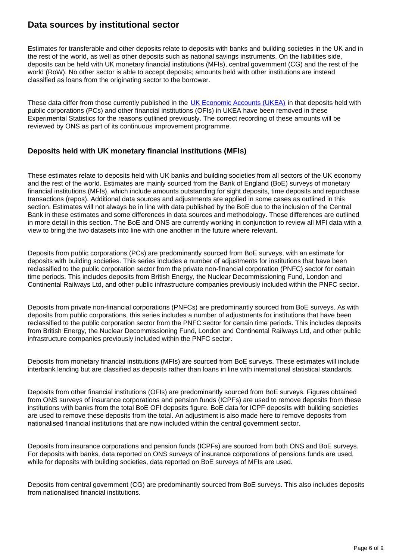### **Data sources by institutional sector**

Estimates for transferable and other deposits relate to deposits with banks and building societies in the UK and in the rest of the world, as well as other deposits such as national savings instruments. On the liabilities side, deposits can be held with UK monetary financial institutions (MFIs), central government (CG) and the rest of the world (RoW). No other sector is able to accept deposits; amounts held with other institutions are instead classified as loans from the originating sector to the borrower.

These data differ from those currently published in the [UK Economic Accounts \(UKEA\)](https://www.ons.gov.uk/economy/nationalaccounts/uksectoraccounts/bulletins/quarterlysectoraccounts/apriltojune2017) in that deposits held with public corporations (PCs) and other financial institutions (OFIs) in UKEA have been removed in these Experimental Statistics for the reasons outlined previously. The correct recording of these amounts will be reviewed by ONS as part of its continuous improvement programme.

### **Deposits held with UK monetary financial institutions (MFIs)**

These estimates relate to deposits held with UK banks and building societies from all sectors of the UK economy and the rest of the world. Estimates are mainly sourced from the Bank of England (BoE) surveys of monetary financial institutions (MFIs), which include amounts outstanding for sight deposits, time deposits and repurchase transactions (repos). Additional data sources and adjustments are applied in some cases as outlined in this section. Estimates will not always be in line with data published by the BoE due to the inclusion of the Central Bank in these estimates and some differences in data sources and methodology. These differences are outlined in more detail in this section. The BoE and ONS are currently working in conjunction to review all MFI data with a view to bring the two datasets into line with one another in the future where relevant.

Deposits from public corporations (PCs) are predominantly sourced from BoE surveys, with an estimate for deposits with building societies. This series includes a number of adjustments for institutions that have been reclassified to the public corporation sector from the private non-financial corporation (PNFC) sector for certain time periods. This includes deposits from British Energy, the Nuclear Decommissioning Fund, London and Continental Railways Ltd, and other public infrastructure companies previously included within the PNFC sector.

Deposits from private non-financial corporations (PNFCs) are predominantly sourced from BoE surveys. As with deposits from public corporations, this series includes a number of adjustments for institutions that have been reclassified to the public corporation sector from the PNFC sector for certain time periods. This includes deposits from British Energy, the Nuclear Decommissioning Fund, London and Continental Railways Ltd, and other public infrastructure companies previously included within the PNFC sector.

Deposits from monetary financial institutions (MFIs) are sourced from BoE surveys. These estimates will include interbank lending but are classified as deposits rather than loans in line with international statistical standards.

Deposits from other financial institutions (OFIs) are predominantly sourced from BoE surveys. Figures obtained from ONS surveys of insurance corporations and pension funds (ICPFs) are used to remove deposits from these institutions with banks from the total BoE OFI deposits figure. BoE data for ICPF deposits with building societies are used to remove these deposits from the total. An adjustment is also made here to remove deposits from nationalised financial institutions that are now included within the central government sector.

Deposits from insurance corporations and pension funds (ICPFs) are sourced from both ONS and BoE surveys. For deposits with banks, data reported on ONS surveys of insurance corporations of pensions funds are used, while for deposits with building societies, data reported on BoE surveys of MFIs are used.

Deposits from central government (CG) are predominantly sourced from BoE surveys. This also includes deposits from nationalised financial institutions.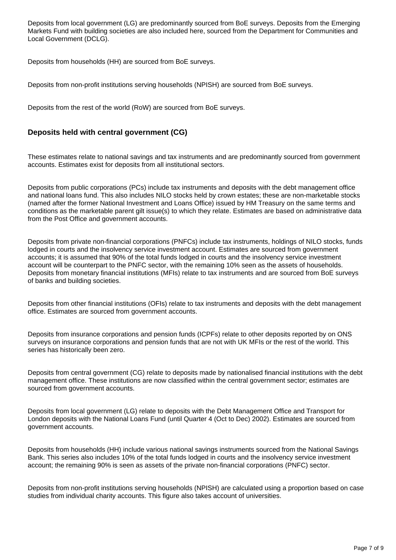Deposits from local government (LG) are predominantly sourced from BoE surveys. Deposits from the Emerging Markets Fund with building societies are also included here, sourced from the Department for Communities and Local Government (DCLG).

Deposits from households (HH) are sourced from BoE surveys.

Deposits from non-profit institutions serving households (NPISH) are sourced from BoE surveys.

Deposits from the rest of the world (RoW) are sourced from BoE surveys.

### **Deposits held with central government (CG)**

These estimates relate to national savings and tax instruments and are predominantly sourced from government accounts. Estimates exist for deposits from all institutional sectors.

Deposits from public corporations (PCs) include tax instruments and deposits with the debt management office and national loans fund. This also includes NILO stocks held by crown estates; these are non-marketable stocks (named after the former National Investment and Loans Office) issued by HM Treasury on the same terms and conditions as the marketable parent gilt issue(s) to which they relate. Estimates are based on administrative data from the Post Office and government accounts.

Deposits from private non-financial corporations (PNFCs) include tax instruments, holdings of NILO stocks, funds lodged in courts and the insolvency service investment account. Estimates are sourced from government accounts; it is assumed that 90% of the total funds lodged in courts and the insolvency service investment account will be counterpart to the PNFC sector, with the remaining 10% seen as the assets of households. Deposits from monetary financial institutions (MFIs) relate to tax instruments and are sourced from BoE surveys of banks and building societies.

Deposits from other financial institutions (OFIs) relate to tax instruments and deposits with the debt management office. Estimates are sourced from government accounts.

Deposits from insurance corporations and pension funds (ICPFs) relate to other deposits reported by on ONS surveys on insurance corporations and pension funds that are not with UK MFIs or the rest of the world. This series has historically been zero.

Deposits from central government (CG) relate to deposits made by nationalised financial institutions with the debt management office. These institutions are now classified within the central government sector; estimates are sourced from government accounts.

Deposits from local government (LG) relate to deposits with the Debt Management Office and Transport for London deposits with the National Loans Fund (until Quarter 4 (Oct to Dec) 2002). Estimates are sourced from government accounts.

Deposits from households (HH) include various national savings instruments sourced from the National Savings Bank. This series also includes 10% of the total funds lodged in courts and the insolvency service investment account; the remaining 90% is seen as assets of the private non-financial corporations (PNFC) sector.

Deposits from non-profit institutions serving households (NPISH) are calculated using a proportion based on case studies from individual charity accounts. This figure also takes account of universities.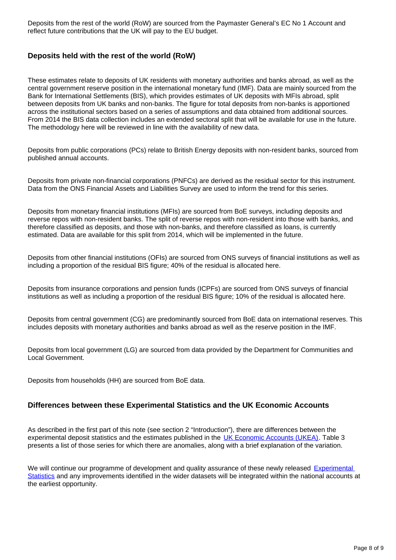Deposits from the rest of the world (RoW) are sourced from the Paymaster General's EC No 1 Account and reflect future contributions that the UK will pay to the EU budget.

### **Deposits held with the rest of the world (RoW)**

These estimates relate to deposits of UK residents with monetary authorities and banks abroad, as well as the central government reserve position in the international monetary fund (IMF). Data are mainly sourced from the Bank for International Settlements (BIS), which provides estimates of UK deposits with MFIs abroad, split between deposits from UK banks and non-banks. The figure for total deposits from non-banks is apportioned across the institutional sectors based on a series of assumptions and data obtained from additional sources. From 2014 the BIS data collection includes an extended sectoral split that will be available for use in the future. The methodology here will be reviewed in line with the availability of new data.

Deposits from public corporations (PCs) relate to British Energy deposits with non-resident banks, sourced from published annual accounts.

Deposits from private non-financial corporations (PNFCs) are derived as the residual sector for this instrument. Data from the ONS Financial Assets and Liabilities Survey are used to inform the trend for this series.

Deposits from monetary financial institutions (MFIs) are sourced from BoE surveys, including deposits and reverse repos with non-resident banks. The split of reverse repos with non-resident into those with banks, and therefore classified as deposits, and those with non-banks, and therefore classified as loans, is currently estimated. Data are available for this split from 2014, which will be implemented in the future.

Deposits from other financial institutions (OFIs) are sourced from ONS surveys of financial institutions as well as including a proportion of the residual BIS figure; 40% of the residual is allocated here.

Deposits from insurance corporations and pension funds (ICPFs) are sourced from ONS surveys of financial institutions as well as including a proportion of the residual BIS figure; 10% of the residual is allocated here.

Deposits from central government (CG) are predominantly sourced from BoE data on international reserves. This includes deposits with monetary authorities and banks abroad as well as the reserve position in the IMF.

Deposits from local government (LG) are sourced from data provided by the Department for Communities and Local Government.

Deposits from households (HH) are sourced from BoE data.

#### **Differences between these Experimental Statistics and the UK Economic Accounts**

As described in the first part of this note (see section 2 "Introduction"), there are differences between the experimental deposit statistics and the estimates published in the [UK Economic Accounts \(UKEA\)](https://www.ons.gov.uk/economy/nationalaccounts/uksectoraccounts/bulletins/quarterlysectoraccounts/apriltojune2017). Table 3 presents a list of those series for which there are anomalies, along with a brief explanation of the variation.

We will continue our programme of development and quality assurance of these newly released Experimental [Statistics](https://www.ons.gov.uk/economy/nationalaccounts/uksectoraccounts/articles/economicstatisticstransformationprogramme/enhancedfinancialaccountsukflowoffundsexperimentalbalancesheetstatistics1997to2016) and any improvements identified in the wider datasets will be integrated within the national accounts at the earliest opportunity.